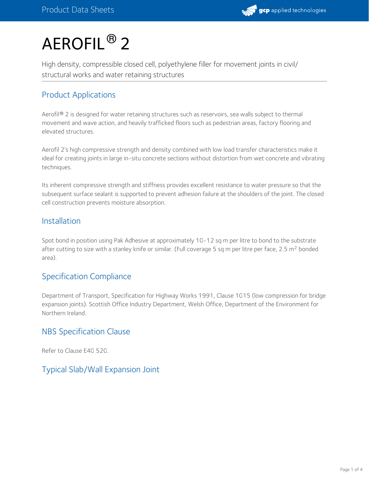# $\mathsf{AEROFIL}^{\circledR}$  2

High density, compressible closed cell, polyethylene filler for movement joints in civil/ structural works and water retaining structures

# Product Applications

Aerofil® 2 is designed for water retaining structures such as reservoirs, sea walls subject to thermal movement and wave action, and heavily trafficked floors such as pedestrian areas, factory flooring and elevated structures.

Aerofil 2's high compressive strength and density combined with low load transfer characteristics make it ideal for creating joints in large in-situ concrete sections without distortion from wet concrete and vibrating techniques.

Its inherent compressive strength and stiffness provides excellent resistance to water pressure so that the subsequent surface sealant is supported to prevent adhesion failure at the shoulders of the joint. The closed cell construction prevents moisture absorption.

### Installation

Spot bond in position using Pak Adhesive at approximately 10-12 sq m per litre to bond to the substrate after cutting to size with a stanley knife or similar. (Full coverage 5 sq m per litre per face, 2.5 m<sup>2</sup> bonded area).

# Specification Compliance

Department of Transport, Specification for Highway Works 1991, Clause 1015 (low compression for bridge expansion joints). Scottish Office Industry Department, Welsh Office, Department of the Environment for Northern Ireland.

### NBS Specification Clause

Refer to Clause E40 520.

# Typical Slab/Wall Expansion Joint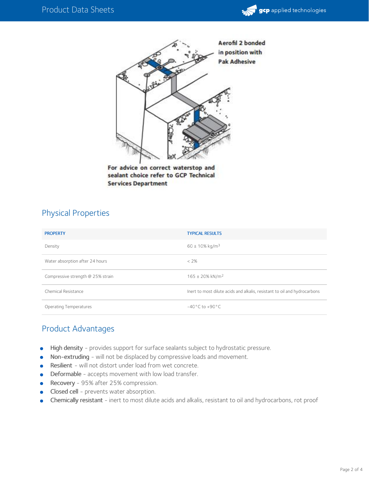



For advice on correct waterstop and sealant choice refer to GCP Technical **Services Department** 

#### Physical Properties

| <b>PROPERTY</b>                   | <b>TYPICAL RESULTS</b>                                                    |
|-----------------------------------|---------------------------------------------------------------------------|
| Density                           | $60 \pm 10\% \text{ kg/m}^3$                                              |
| Water absorption after 24 hours   | $< 2\%$                                                                   |
| Compressive strength @ 25% strain | $165 \pm 20\%$ kN/m <sup>2</sup>                                          |
| Chemical Resistance               | Inert to most dilute acids and alkalis, resistant to oil and hydrocarbons |
| <b>Operating Temperatures</b>     | $-40^{\circ}$ C to $+90^{\circ}$ C                                        |

#### Product Advantages

- High density provides support for surface sealants subject to hydrostatic pressure.  $\bullet$
- Non-extruding will not be displaced by compressive loads and movement.
- Resilient will not distort under load from wet concrete.  $\bullet$
- Deformable accepts movement with low load transfer.
- Recovery 95% after 25% compression.
- Closed cell prevents water absorption.
- Chemically resistant inert to most dilute acids and alkalis, resistant to oil and hydrocarbons, rot proof  $\bullet$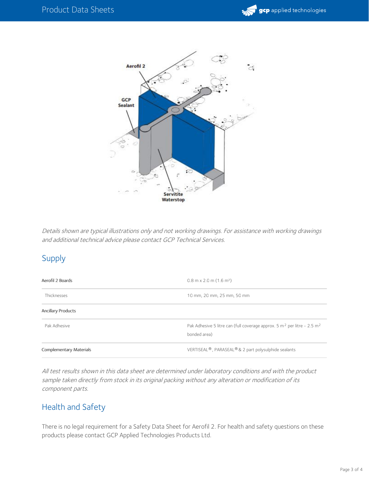



Details shown are typical illustrations only and not working drawings. For assistance with working drawings and additional technical advice please contact GCP Technical Services.

# Supply

| Aerofil 2 Boards               | $0.8$ m x 2.0 m $(1.6$ m <sup>2</sup> )                                                                         |
|--------------------------------|-----------------------------------------------------------------------------------------------------------------|
| Thicknesses                    | 10 mm, 20 mm, 25 mm, 50 mm                                                                                      |
| <b>Ancillary Products</b>      |                                                                                                                 |
| Pak Adhesive                   | Pak Adhesive 5 litre can (full coverage approx. 5 m <sup>2</sup> per litre - 2.5 m <sup>2</sup><br>bonded area) |
| <b>Complementary Materials</b> | VERTISEAL <sup>®</sup> , PARASEAL <sup>®</sup> & 2 part polysulphide sealants                                   |

All test results shown in this data sheet are determined under laboratory conditions and with the product sample taken directly from stock in its original packing without any alteration or modification of its component parts.

### Health and Safety

There is no legal requirement for a Safety Data Sheet for Aerofil 2. For health and safety questions on these products please contact GCP Applied Technologies Products Ltd.